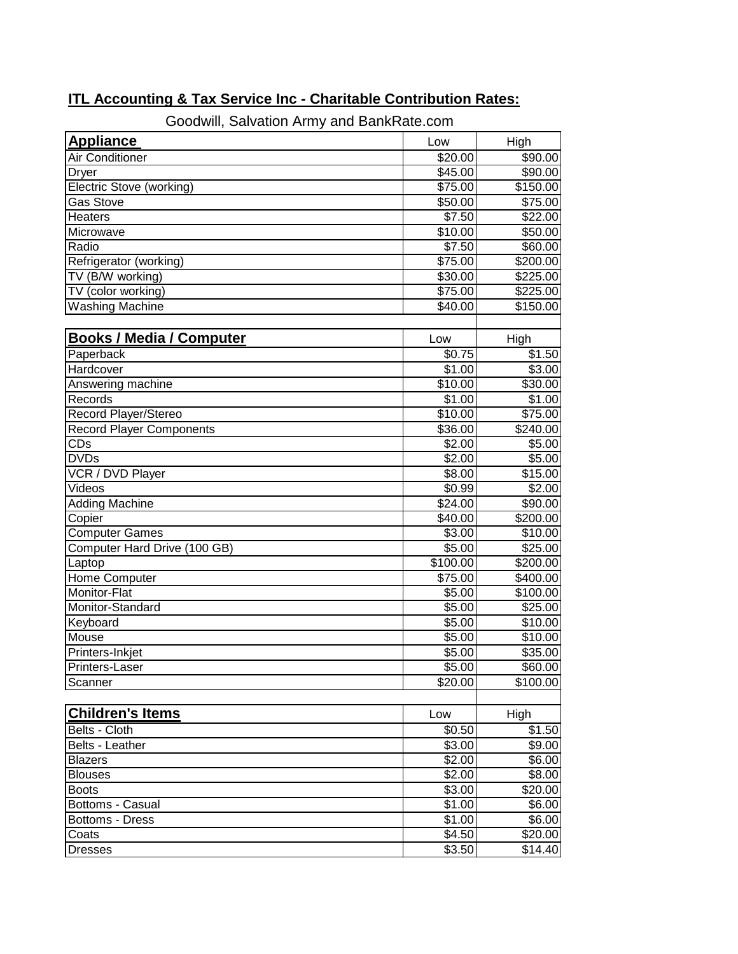| Goodwill, Salvation Army and BankRate.com |                     |                     |  |
|-------------------------------------------|---------------------|---------------------|--|
| <b>Appliance</b>                          | Low                 | High                |  |
| Air Conditioner                           | \$20.00             | \$90.00             |  |
| <b>Dryer</b>                              | \$45.00             | \$90.00             |  |
| Electric Stove (working)                  | \$75.00             | \$150.00            |  |
| <b>Gas Stove</b>                          | \$50.00             | \$75.00             |  |
| <b>Heaters</b>                            | \$7.50              | \$22.00             |  |
| Microwave                                 | \$10.00             | \$50.00             |  |
| Radio                                     | $\overline{$7.50}$  | \$60.00             |  |
| Refrigerator (working)                    | \$75.00             | \$200.00            |  |
| TV (B/W working)                          | \$30.00             | \$225.00            |  |
| TV (color working)                        | \$75.00             | \$225.00            |  |
| <b>Washing Machine</b>                    | \$40.00             | \$150.00            |  |
|                                           |                     |                     |  |
| <b>Books / Media / Computer</b>           | Low                 | High                |  |
| Paperback                                 | \$0.75              | \$1.50              |  |
| Hardcover                                 | \$1.00              | \$3.00              |  |
| Answering machine                         | $\overline{$}10.00$ | \$30.00             |  |
| Records                                   | \$1.00              | \$1.00              |  |
| Record Player/Stereo                      | \$10.00             | $\overline{$}75.00$ |  |
| <b>Record Player Components</b>           | \$36.00             | \$240.00            |  |
| CDs                                       | $\overline{$}2.00$  | \$5.00              |  |
| <b>DVDs</b>                               | $\overline{$}2.00$  | \$5.00              |  |
| VCR / DVD Player                          | \$8.00              | \$15.00             |  |
| Videos                                    | \$0.99              | \$2.00              |  |
| <b>Adding Machine</b>                     | \$24.00             | \$90.00             |  |
| Copier                                    | \$40.00             | \$200.00            |  |
| <b>Computer Games</b>                     | \$3.00              | \$10.00             |  |
| Computer Hard Drive (100 GB)              | \$5.00              | \$25.00             |  |
| Laptop                                    | \$100.00            | \$200.00            |  |
| Home Computer                             | \$75.00             | \$400.00            |  |
| Monitor-Flat                              | \$5.00              | \$100.00            |  |
| Monitor-Standard                          | \$5.00              | \$25.00             |  |
| Keyboard                                  | \$5.00              | \$10.00             |  |
| Mouse                                     | \$5.00              | \$10.00             |  |
| Printers-Inkjet                           | \$5.00              | \$35.00             |  |
| Printers-Laser                            | \$5.00              | \$60.00]            |  |
| Scanner                                   | \$20.00             | \$100.00            |  |
|                                           |                     |                     |  |
| <b>Children's Items</b>                   | Low                 | High                |  |
| Belts - Cloth                             | \$0.50              | \$1.50              |  |
| Belts - Leather                           | \$3.00              | \$9.00              |  |
| <b>Blazers</b>                            | \$2.00              | \$6.00              |  |
| <b>Blouses</b>                            | \$2.00              | \$8.00              |  |
| <b>Boots</b>                              | \$3.00              | \$20.00             |  |
| Bottoms - Casual                          | \$1.00              | \$6.00              |  |
| Bottoms - Dress                           | \$1.00              | \$6.00              |  |
| Coats                                     | \$4.50              | \$20.00             |  |
| <b>Dresses</b>                            | \$3.50              | \$14.40             |  |

## **ITL Accounting & Tax Service Inc - Charitable Contribution Rates:**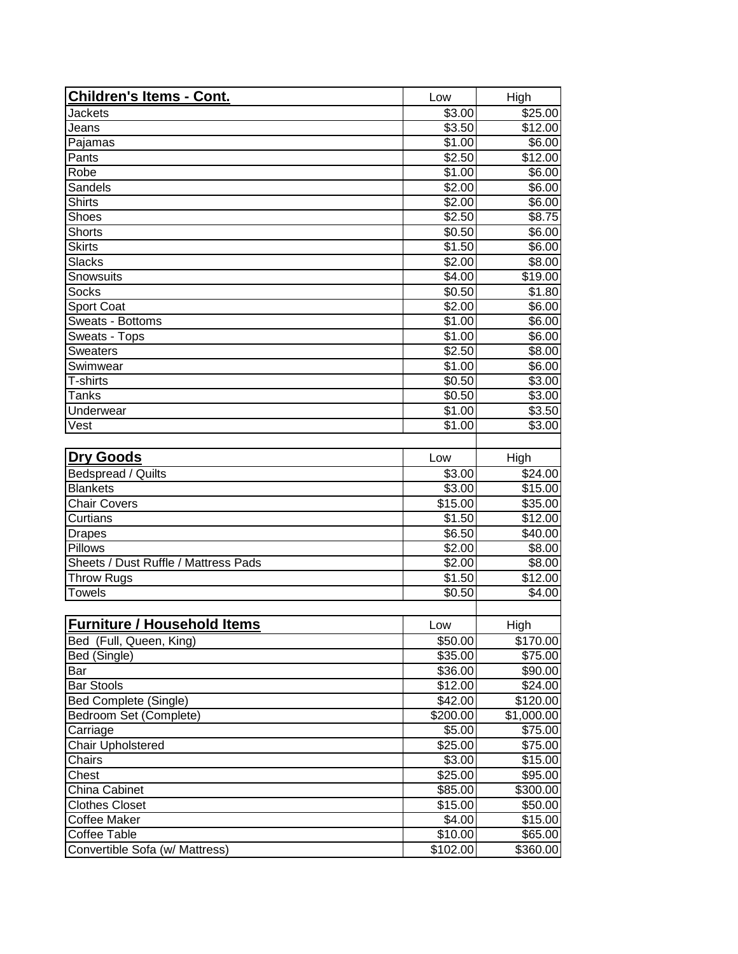| Children's Items - Cont.             | Low                 | High            |
|--------------------------------------|---------------------|-----------------|
| <b>Jackets</b>                       | \$3.00              | \$25.00         |
| Jeans                                | \$3.50              | \$12.00         |
| Pajamas                              | \$1.00              | \$6.00          |
| Pants                                | \$2.50              | \$12.00         |
| Robe                                 | \$1.00              | \$6.00          |
| Sandels                              | \$2.00              | \$6.00          |
| <b>Shirts</b>                        | \$2.00              | \$6.00          |
| Shoes                                | \$2.50              | \$8.75          |
| <b>Shorts</b>                        | \$0.50              | \$6.00          |
| <b>Skirts</b>                        | \$1.50              | \$6.00          |
| <b>Slacks</b>                        | \$2.00              | \$8.00          |
| Snowsuits                            | \$4.00              | \$19.00         |
| <b>Socks</b>                         | \$0.50              | \$1.80          |
| <b>Sport Coat</b>                    | \$2.00              | \$6.00          |
| Sweats - Bottoms                     | \$1.00              | \$6.00          |
| Sweats - Tops                        | \$1.00              | \$6.00          |
| <b>Sweaters</b>                      | \$2.50              | \$8.00          |
| Swimwear                             | \$1.00              | \$6.00          |
| T-shirts                             | \$0.50              | \$3.00          |
| <b>Tanks</b>                         | \$0.50              | \$3.00          |
| Underwear                            | \$1.00              | \$3.50          |
| Vest                                 | \$1.00              | \$3.00          |
|                                      |                     |                 |
| <b>Dry Goods</b>                     | Low                 | High            |
| Bedspread / Quilts                   | \$3.00              | \$24.00         |
| <b>Blankets</b>                      | \$3.00              | \$15.00         |
| <b>Chair Covers</b>                  | $\overline{$}15.00$ | \$35.00         |
| Curtians                             | \$1.50              | \$12.00         |
| <b>Drapes</b>                        | \$6.50              | \$40.00         |
| Pillows                              | \$2.00              | \$8.00          |
| Sheets / Dust Ruffle / Mattress Pads | \$2.00              | \$8.00          |
| <b>Throw Rugs</b>                    | $\overline{$}1.50$  | \$12.00         |
| <b>Towels</b>                        | \$0.50              | \$4.00          |
|                                      |                     |                 |
| <b>IFurniture / Household Items</b>  | Low                 | High            |
| Bed (Full, Queen, King)              | \$50.00             | \$170.00        |
| Bed (Single)                         | \$35.00             | $\sqrt{$75.00}$ |
| Bar                                  | \$36.00             | \$90.00         |
| <b>Bar Stools</b>                    | \$12.00             | \$24.00         |
| <b>Bed Complete (Single)</b>         | \$42.00             | \$120.00        |
| Bedroom Set (Complete)               | \$200.00            | \$1,000.00      |
| Carriage                             | \$5.00              | \$75.00         |
| <b>Chair Upholstered</b>             | \$25.00             | \$75.00         |
| Chairs                               | \$3.00              | \$15.00         |
| Chest                                | \$25.00             | \$95.00         |
| China Cabinet                        | \$85.00             | \$300.00        |
| <b>Clothes Closet</b>                | \$15.00             | \$50.00         |
| <b>Coffee Maker</b>                  | \$4.00              | \$15.00         |
| <b>Coffee Table</b>                  | \$10.00             | \$65.00         |
| Convertible Sofa (w/ Mattress)       | \$102.00            | \$360.00        |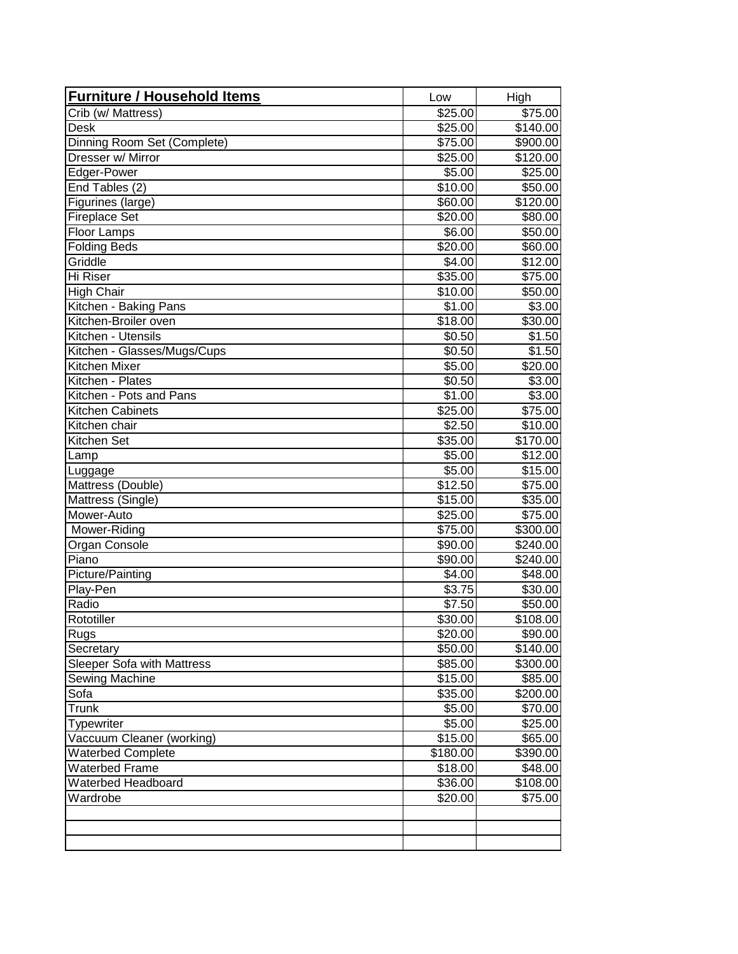| <b>Furniture / Household Items</b> | Low                 | High                 |
|------------------------------------|---------------------|----------------------|
| Crib (w/ Mattress)                 | \$25.00             | \$75.00              |
| <b>Desk</b>                        | \$25.00             | $\overline{$}140.00$ |
| Dinning Room Set (Complete)        | \$75.00             | \$900.00             |
| Dresser w/ Mirror                  | \$25.00             | \$120.00             |
| Edger-Power                        | \$5.00              | \$25.00              |
| End Tables (2)                     | \$10.00             | \$50.00              |
| Figurines (large)                  | \$60.00             | \$120.00             |
| <b>Fireplace Set</b>               | \$20.00             | \$80.00              |
| Floor Lamps                        | \$6.00              | \$50.00              |
| <b>Folding Beds</b>                | \$20.00             | \$60.00              |
| Griddle                            | \$4.00              | \$12.00              |
| Hi Riser                           | $\overline{$}35.00$ | \$75.00              |
| <b>High Chair</b>                  | \$10.00             | \$50.00              |
| Kitchen - Baking Pans              | \$1.00              | \$3.00               |
| Kitchen-Broiler oven               | \$18.00             | \$30.00              |
| Kitchen - Utensils                 | \$0.50              | \$1.50               |
| Kitchen - Glasses/Mugs/Cups        | \$0.50              | \$1.50               |
| Kitchen Mixer                      | \$5.00              | \$20.00              |
| Kitchen - Plates                   | \$0.50              | \$3.00               |
| Kitchen - Pots and Pans            | \$1.00              | \$3.00               |
| Kitchen Cabinets                   | \$25.00             | $\overline{$}75.00$  |
| Kitchen chair                      | \$2.50              | \$10.00              |
| <b>Kitchen Set</b>                 | \$35.00             | \$170.00             |
| Lamp                               | \$5.00              | \$12.00              |
| Luggage                            | \$5.00              | $\overline{$}15.00$  |
| Mattress (Double)                  | \$12.50             | \$75.00              |
| Mattress (Single)                  | \$15.00             | \$35.00              |
| Mower-Auto                         | \$25.00             | \$75.00              |
| Mower-Riding                       | \$75.00             | \$300.00             |
| Organ Console                      | \$90.00             | \$240.00             |
| Piano                              | \$90.00             | \$240.00             |
| Picture/Painting                   | $\overline{$}4.00$  | \$48.00              |
| Play-Pen                           | $\overline{$}3.75$  | \$30.00              |
| Radio                              | \$7.50              | \$50.00              |
| Rototiller                         | \$30.00             | \$108.00             |
| Rugs                               | \$20.00             | \$90.00              |
| Secretary                          | \$50.00             | \$140.00             |
| Sleeper Sofa with Mattress         | \$85.00             | \$300.00             |
| Sewing Machine                     | \$15.00             | \$85.00              |
| Sofa                               | \$35.00             | \$200.00             |
| Trunk                              | \$5.00              | \$70.00              |
| Typewriter                         | \$5.00              | \$25.00              |
| Vaccuum Cleaner (working)          | \$15.00             | \$65.00              |
| <b>Waterbed Complete</b>           | \$180.00            | \$390.00             |
| <b>Waterbed Frame</b>              | \$18.00             | \$48.00              |
| Waterbed Headboard                 | \$36.00             | \$108.00             |
| Wardrobe                           | \$20.00             | \$75.00              |
|                                    |                     |                      |
|                                    |                     |                      |
|                                    |                     |                      |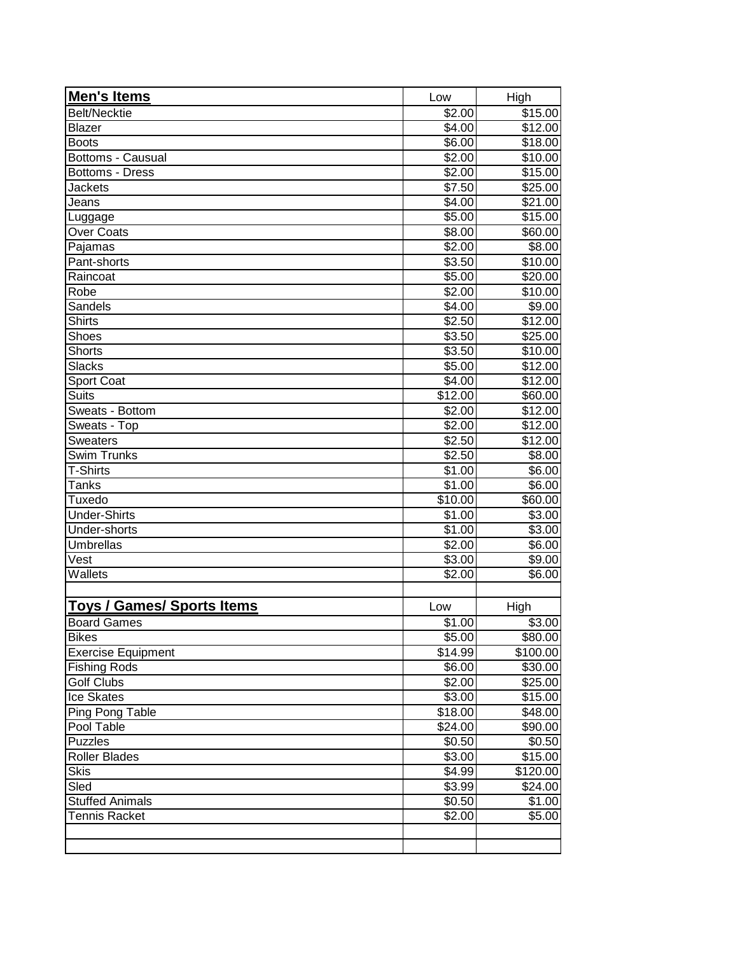| Men's Items                | Low                | High      |
|----------------------------|--------------------|-----------|
| <b>Belt/Necktie</b>        | \$2.00             | \$15.00   |
| <b>Blazer</b>              | \$4.00             | \$12.00   |
| <b>Boots</b>               | \$6.00             | \$18.00   |
| Bottoms - Causual          | \$2.00             | \$10.00   |
| <b>Bottoms - Dress</b>     | \$2.00             | \$15.00   |
| <b>Jackets</b>             | \$7.50             | \$25.00   |
| Jeans                      | $\overline{$}4.00$ | \$21.00   |
| Luggage                    | \$5.00             | \$15.00   |
| <b>Over Coats</b>          | \$8.00             | \$60.00   |
| Pajamas                    | \$2.00             | \$8.00    |
| Pant-shorts                | \$3.50             | \$10.00   |
| Raincoat                   | \$5.00             | \$20.00   |
| Robe                       | \$2.00             | \$10.00   |
| Sandels                    | \$4.00             | \$9.00    |
| <b>Shirts</b>              | 32.50              | \$12.00   |
| Shoes                      | \$3.50             | \$25.00   |
| <b>Shorts</b>              | \$3.50             | \$10.00   |
| <b>Slacks</b>              | \$5.00             | \$12.00   |
| <b>Sport Coat</b>          | \$4.00             | \$12.00   |
| <b>Suits</b>               | \$12.00            | \$60.00   |
| Sweats - Bottom            | \$2.00             | \$12.00   |
| Sweats - Top               | $\sqrt{$2.00}$     | \$12.00   |
| <b>Sweaters</b>            | \$2.50             | \$12.00   |
| Swim Trunks                | \$2.50             | \$8.00    |
| T-Shirts                   | \$1.00             | \$6.00    |
| Tanks                      | \$1.00             | \$6.00    |
| Tuxedo                     | \$10.00            | \$60.00   |
| <b>Under-Shirts</b>        | \$1.00             | \$3.00    |
| Under-shorts               | \$1.00             | \$3.00    |
| <b>Umbrellas</b>           | \$2.00             | \$6.00    |
| Vest                       | \$3.00             | \$9.00    |
| Wallets                    | \$2.00             | \$6.00    |
| Toys / Games/ Sports Items | Low                | High      |
| <b>Board Games</b>         | \$1.00             | \$3.00    |
| <b>Bikes</b>               | \$5.00             | \$80.00   |
| <b>Exercise Equipment</b>  | \$14.99            | \$100.00] |
| <b>Fishing Rods</b>        | \$6.00             | \$30.00   |
| <b>Golf Clubs</b>          | \$2.00             | \$25.00   |
| <b>Ice Skates</b>          | \$3.00             | \$15.00   |
| Ping Pong Table            | \$18.00            | \$48.00   |
| Pool Table                 | \$24.00            | \$90.00   |
| <b>Puzzles</b>             | \$0.50             | \$0.50    |
| <b>Roller Blades</b>       | \$3.00             | \$15.00   |
| <b>Skis</b>                | \$4.99             | \$120.00  |
| Sled                       | 3.99               | \$24.00   |
| <b>Stuffed Animals</b>     | \$0.50             | \$1.00    |
| <b>Tennis Racket</b>       | \$2.00             | \$5.00    |
|                            |                    |           |
|                            |                    |           |